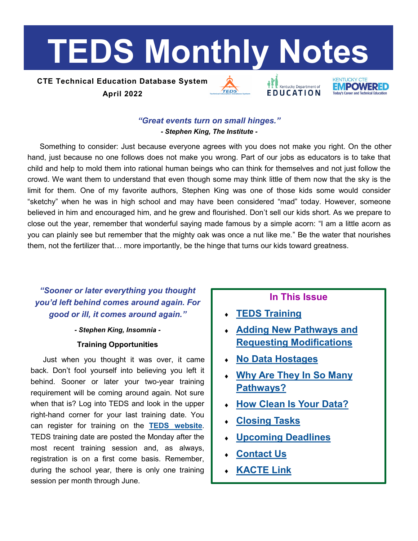# <span id="page-0-0"></span>**TEDS Monthly Notes**

# **CTE Technical Education Database System April 2022**





# *"Great events turn on small hinges."*

*- Stephen King, The Institute -*

Something to consider: Just because everyone agrees with you does not make you right. On the other hand, just because no one follows does not make you wrong. Part of our jobs as educators is to take that child and help to mold them into rational human beings who can think for themselves and not just follow the crowd. We want them to understand that even though some may think little of them now that the sky is the limit for them. One of my favorite authors, Stephen King was one of those kids some would consider "sketchy" when he was in high school and may have been considered "mad" today. However, someone believed in him and encouraged him, and he grew and flourished. Don't sell our kids short. As we prepare to close out the year, remember that wonderful saying made famous by a simple acorn: "I am a little acorn as you can plainly see but remember that the mighty oak was once a nut like me." Be the water that nourishes them, not the fertilizer that… more importantly, be the hinge that turns our kids toward greatness.

# *"Sooner or later everything you thought you'd left behind comes around again. For good or ill, it comes around again."*

#### *- Stephen King, Insomnia -*

## **Training Opportunities**

Just when you thought it was over, it came back. Don't fool yourself into believing you left it behind. Sooner or later your two-year training requirement will be coming around again. Not sure when that is? Log into TEDS and look in the upper right-hand corner for your last training date. You can register for training on the **[TEDS website](https://education.ky.gov/CTE/teds/Pages/default.aspx)**. TEDS training date are posted the Monday after the most recent training session and, as always, registration is on a first come basis. Remember, during the school year, there is only one training session per month through June.

# **In This Issue**

- **[TEDS Training](#page-0-0)**
- **[Adding New Pathways and](#page-1-0)  [Requesting Modifications](#page-1-0)**
- **[No Data Hostages](#page-1-0)**
- **[Why Are They In So Many](#page-1-0)  [Pathways?](#page-1-0)**
- **[How Clean Is Your Data?](#page-2-0)**
- **[Closing Tasks](#page-2-0)**
- **[Upcoming Deadlines](#page-3-0)**
- **[Contact Us](#page-3-0)**
- **[KACTE Link](#page-3-0)**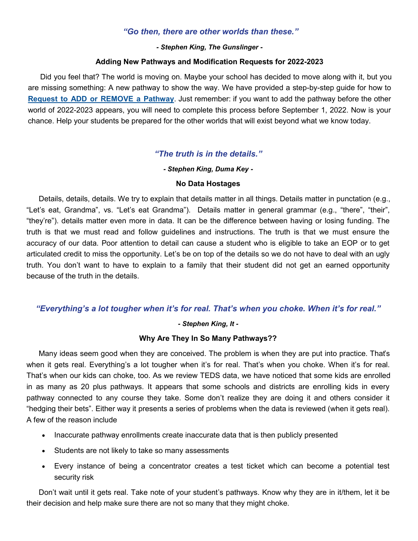#### *"Go then, there are other worlds than these."*

#### *- Stephen King, The Gunslinger -*

#### **Adding New Pathways and Modification Requests for 2022-2023**

<span id="page-1-0"></span>Did you feel that? The world is moving on. Maybe your school has decided to move along with it, but you are missing something: A new pathway to show the way. We have provided a step-by-step guide for how to **[Request to ADD or REMOVE a Pathway](https://education.ky.gov/CTE/teds/Pages/TEDSStepbyStep.aspx)**. Just remember: if you want to add the pathway before the other world of 2022-2023 appears, you will need to complete this process before September 1, 2022. Now is your chance. Help your students be prepared for the other worlds that will exist beyond what we know today.

## *"The truth is in the details."*

#### *- Stephen King, Duma Key -*

#### **No Data Hostages**

Details, details, details. We try to explain that details matter in all things. Details matter in punctation (e.g., "Let's eat, Grandma", vs. "Let's eat Grandma"). Details matter in general grammar (e.g., "there", "their", "they're"). details matter even more in data. It can be the difference between having or losing funding. The truth is that we must read and follow guidelines and instructions. The truth is that we must ensure the accuracy of our data. Poor attention to detail can cause a student who is eligible to take an EOP or to get articulated credit to miss the opportunity. Let's be on top of the details so we do not have to deal with an ugly truth. You don't want to have to explain to a family that their student did not get an earned opportunity because of the truth in the details.

## *"Everything's a lot tougher when it's for real. That's when you choke. When it's for real."*

#### *- Stephen King, It -*

#### **Why Are They In So Many Pathways??**

Many ideas seem good when they are conceived. The problem is when they are put into practice. That's when it gets real. Everything's a lot tougher when it's for real. That's when you choke. When it's for real. That's when our kids can choke, too. As we review TEDS data, we have noticed that some kids are enrolled in as many as 20 plus pathways. It appears that some schools and districts are enrolling kids in every pathway connected to any course they take. Some don't realize they are doing it and others consider it "hedging their bets". Either way it presents a series of problems when the data is reviewed (when it gets real). A few of the reason include

- Inaccurate pathway enrollments create inaccurate data that is then publicly presented
- Students are not likely to take so many assessments
- Every instance of being a concentrator creates a test ticket which can become a potential test security risk

Don't wait until it gets real. Take note of your student's pathways. Know why they are in it/them, let it be their decision and help make sure there are not so many that they might choke.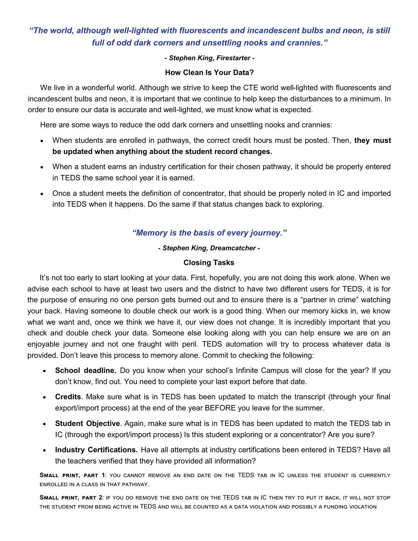# <span id="page-2-0"></span>*"The world, although well-lighted with fluorescents and incandescent bulbs and neon, is still full of odd dark corners and unsettling nooks and crannies."*

#### *- Stephen King, Firestarter -*

#### **How Clean Is Your Data?**

We live in a wonderful world. Although we strive to keep the CTE world well-lighted with fluorescents and incandescent bulbs and neon, it is important that we continue to help keep the disturbances to a minimum. In order to ensure our data is accurate and well-lighted, we must know what is expected.

Here are some ways to reduce the odd dark corners and unsettling nooks and crannies:

- When students are enrolled in pathways, the correct credit hours must be posted. Then, **they must be updated when anything about the student record changes.**
- When a student earns an industry certification for their chosen pathway, it should be properly entered in TEDS the same school year it is earned.
- Once a student meets the definition of concentrator, that should be properly noted in IC and imported into TEDS when it happens. Do the same if that status changes back to exploring.

# *"Memory is the basis of every journey."*

#### *- Stephen King, Dreamcatcher -*

#### **Closing Tasks**

It's not too early to start looking at your data. First, hopefully, you are not doing this work alone. When we advise each school to have at least two users and the district to have two different users for TEDS, it is for the purpose of ensuring no one person gets burned out and to ensure there is a "partner in crime" watching your back. Having someone to double check our work is a good thing. When our memory kicks in, we know what we want and, once we think we have it, our view does not change. It is incredibly important that you check and double check your data. Someone else looking along with you can help ensure we are on an enjoyable journey and not one fraught with peril. TEDS automation will try to process whatever data is provided. Don't leave this process to memory alone. Commit to checking the following:

- **School deadline.** Do you know when your school's Infinite Campus will close for the year? If you don't know, find out. You need to complete your last export before that date.
- **Credits**. Make sure what is in TEDS has been updated to match the transcript (through your final export/import process) at the end of the year BEFORE you leave for the summer.
- **Student Objective**. Again, make sure what is in TEDS has been updated to match the TEDS tab in IC (through the export/import process) Is this student exploring or a concentrator? Are you sure?
- **Industry Certifications.** Have all attempts at industry certifications been entered in TEDS? Have all the teachers verified that they have provided all information?

**Small print, part 1**: you cannot remove an end date on the TEDS tab in IC unless the student is currently enrolled in a class in that pathway.

**Small print, part 2**: if you do remove the end date on the TEDS tab in IC then try to put it back, it will not stop the student from being active in TEDS and will be counted as a data violation and possibly a funding violation